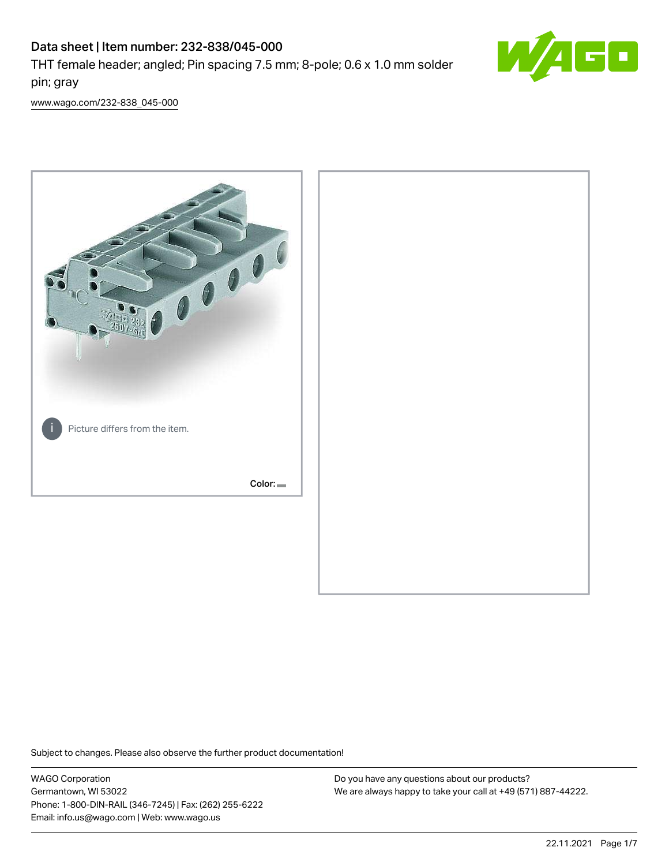# Data sheet | Item number: 232-838/045-000

THT female header; angled; Pin spacing 7.5 mm; 8-pole; 0.6 x 1.0 mm solder pin; gray



[www.wago.com/232-838\\_045-000](http://www.wago.com/232-838_045-000)



Subject to changes. Please also observe the further product documentation!

WAGO Corporation Germantown, WI 53022 Phone: 1-800-DIN-RAIL (346-7245) | Fax: (262) 255-6222 Email: info.us@wago.com | Web: www.wago.us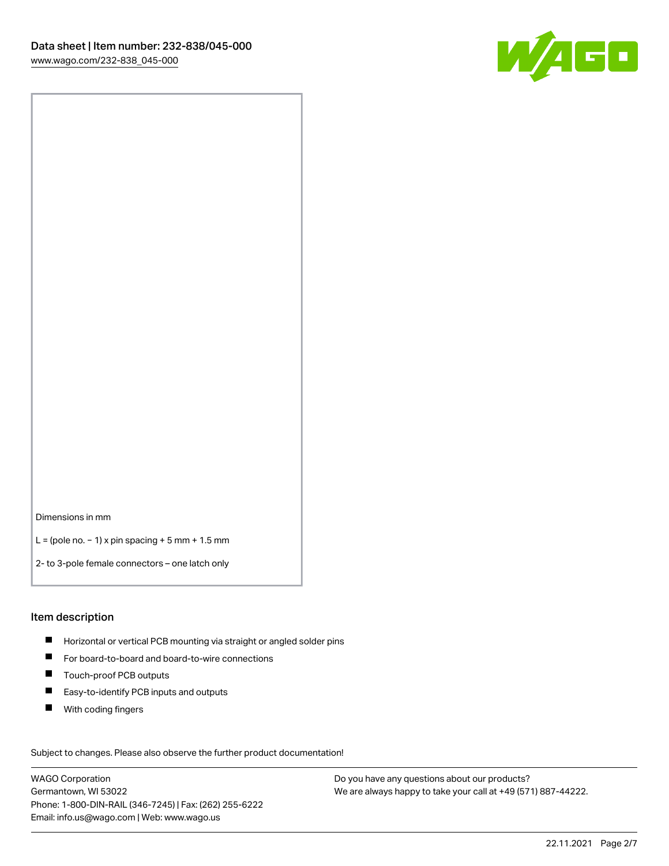

Dimensions in mm

L = (pole no. − 1) x pin spacing + 5 mm + 1.5 mm

2- to 3-pole female connectors – one latch only

#### Item description

- **H** Horizontal or vertical PCB mounting via straight or angled solder pins
- For board-to-board and board-to-wire connections
- Touch-proof PCB outputs  $\blacksquare$
- $\blacksquare$ Easy-to-identify PCB inputs and outputs
- $\blacksquare$ With coding fingers

Subject to changes. Please also observe the further product documentation! Data

WAGO Corporation Germantown, WI 53022 Phone: 1-800-DIN-RAIL (346-7245) | Fax: (262) 255-6222 Email: info.us@wago.com | Web: www.wago.us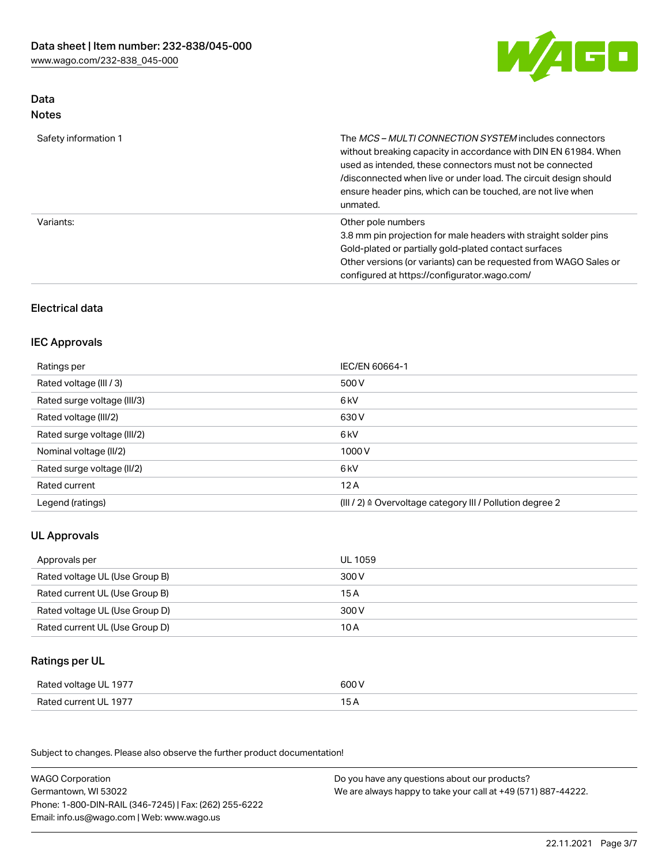

# Data Notes

| Safety information 1 | The <i>MCS - MULTI CONNECTION SYSTEM</i> includes connectors<br>without breaking capacity in accordance with DIN EN 61984. When<br>used as intended, these connectors must not be connected<br>/disconnected when live or under load. The circuit design should<br>ensure header pins, which can be touched, are not live when<br>unmated. |
|----------------------|--------------------------------------------------------------------------------------------------------------------------------------------------------------------------------------------------------------------------------------------------------------------------------------------------------------------------------------------|
| Variants:            | Other pole numbers<br>3.8 mm pin projection for male headers with straight solder pins<br>Gold-plated or partially gold-plated contact surfaces<br>Other versions (or variants) can be requested from WAGO Sales or<br>configured at https://configurator.wago.com/                                                                        |

# Electrical data

### IEC Approvals

| Ratings per                 | IEC/EN 60664-1                                                        |
|-----------------------------|-----------------------------------------------------------------------|
| Rated voltage (III / 3)     | 500 V                                                                 |
| Rated surge voltage (III/3) | 6 kV                                                                  |
| Rated voltage (III/2)       | 630 V                                                                 |
| Rated surge voltage (III/2) | 6 kV                                                                  |
| Nominal voltage (II/2)      | 1000 V                                                                |
| Rated surge voltage (II/2)  | 6 kV                                                                  |
| Rated current               | 12A                                                                   |
| Legend (ratings)            | $(III / 2)$ $\triangle$ Overvoltage category III / Pollution degree 2 |

# UL Approvals

| Approvals per                  | UL 1059 |
|--------------------------------|---------|
| Rated voltage UL (Use Group B) | 300 V   |
| Rated current UL (Use Group B) | 15 A    |
| Rated voltage UL (Use Group D) | 300 V   |
| Rated current UL (Use Group D) | 10 A    |

# Ratings per UL

| Rated voltage UL 1977 | 600 V |
|-----------------------|-------|
| Rated current UL 1977 |       |

Subject to changes. Please also observe the further product documentation!

| <b>WAGO Corporation</b>                                | Do you have any questions about our products?                 |
|--------------------------------------------------------|---------------------------------------------------------------|
| Germantown, WI 53022                                   | We are always happy to take your call at +49 (571) 887-44222. |
| Phone: 1-800-DIN-RAIL (346-7245)   Fax: (262) 255-6222 |                                                               |
| Email: info.us@wago.com   Web: www.wago.us             |                                                               |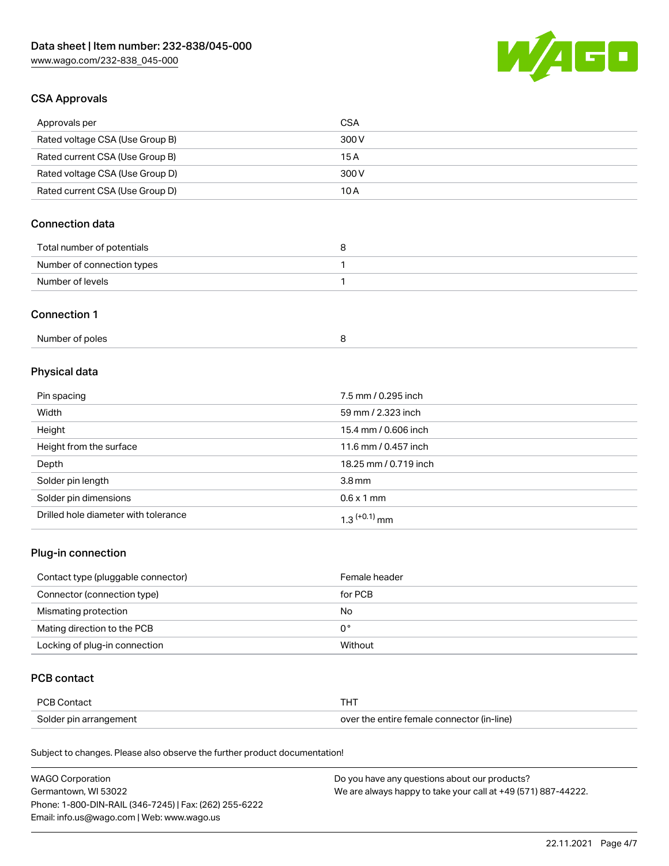

## CSA Approvals

| Approvals per                   | CSA   |
|---------------------------------|-------|
| Rated voltage CSA (Use Group B) | 300 V |
| Rated current CSA (Use Group B) | 15 A  |
| Rated voltage CSA (Use Group D) | 300 V |
| Rated current CSA (Use Group D) | 10 A  |

# Connection data

| Total number of potentials |  |
|----------------------------|--|
| Number of connection types |  |
| Number of levels           |  |

### Connection 1

| Number of poles |  |  |
|-----------------|--|--|
|-----------------|--|--|

# Physical data

| Pin spacing                          | 7.5 mm / 0.295 inch   |
|--------------------------------------|-----------------------|
| Width                                | 59 mm / 2.323 inch    |
| Height                               | 15.4 mm / 0.606 inch  |
| Height from the surface              | 11.6 mm / 0.457 inch  |
| Depth                                | 18.25 mm / 0.719 inch |
| Solder pin length                    | 3.8 <sub>mm</sub>     |
| Solder pin dimensions                | $0.6 \times 1$ mm     |
| Drilled hole diameter with tolerance | $1.3$ $(+0.1)$ mm     |

# Plug-in connection

| Contact type (pluggable connector) | Female header |
|------------------------------------|---------------|
| Connector (connection type)        | for PCB       |
| Mismating protection               | No            |
| Mating direction to the PCB        | 0°            |
| Locking of plug-in connection      | Without       |

### PCB contact

| PCB Contact            | тнт                                        |
|------------------------|--------------------------------------------|
| Solder pin arrangement | over the entire female connector (in-line) |

Subject to changes. Please also observe the further product documentation!

| <b>WAGO Corporation</b>                                | Do you have any questions about our products?                 |
|--------------------------------------------------------|---------------------------------------------------------------|
| Germantown, WI 53022                                   | We are always happy to take your call at +49 (571) 887-44222. |
| Phone: 1-800-DIN-RAIL (346-7245)   Fax: (262) 255-6222 |                                                               |
| Email: info.us@wago.com   Web: www.wago.us             |                                                               |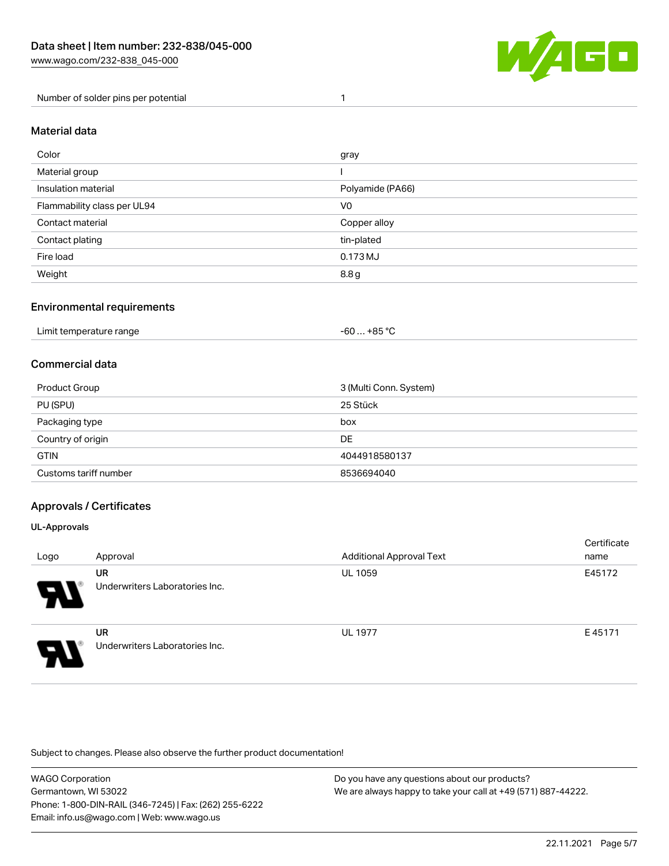

Number of solder pins per potential 1

#### Material data

| Color                       | gray             |
|-----------------------------|------------------|
| Material group              |                  |
| Insulation material         | Polyamide (PA66) |
| Flammability class per UL94 | V <sub>0</sub>   |
| Contact material            | Copper alloy     |
| Contact plating             | tin-plated       |
| Fire load                   | 0.173 MJ         |
| Weight                      | 8.8 g            |

### Environmental requirements

| Limit temperature range<br>$\blacksquare$ . The contract of the contract of the contract of the contract of the contract of the contract of the contract of the contract of the contract of the contract of the contract of the contract of the contract of the | $-60+85 °C$ |  |
|-----------------------------------------------------------------------------------------------------------------------------------------------------------------------------------------------------------------------------------------------------------------|-------------|--|
|-----------------------------------------------------------------------------------------------------------------------------------------------------------------------------------------------------------------------------------------------------------------|-------------|--|

## Commercial data

| Product Group         | 3 (Multi Conn. System) |
|-----------------------|------------------------|
| PU (SPU)              | 25 Stück               |
| Packaging type        | box                    |
| Country of origin     | DE                     |
| <b>GTIN</b>           | 4044918580137          |
| Customs tariff number | 8536694040             |

### Approvals / Certificates

#### UL-Approvals

| Logo                       | Approval                                    | <b>Additional Approval Text</b> | Certificate<br>name |
|----------------------------|---------------------------------------------|---------------------------------|---------------------|
| $\boldsymbol{\mathcal{A}}$ | <b>UR</b><br>Underwriters Laboratories Inc. | <b>UL 1059</b>                  | E45172              |
| Э                          | <b>UR</b><br>Underwriters Laboratories Inc. | <b>UL 1977</b>                  | E45171              |

Subject to changes. Please also observe the further product documentation!

WAGO Corporation Germantown, WI 53022 Phone: 1-800-DIN-RAIL (346-7245) | Fax: (262) 255-6222 Email: info.us@wago.com | Web: www.wago.us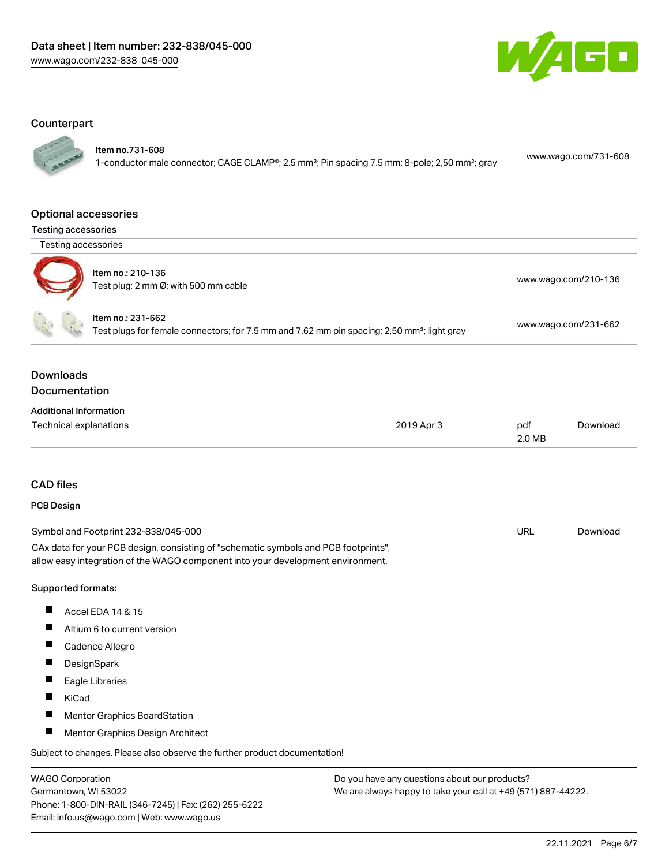

### **Counterpart**

Item no.731-608

1-conductor male connector; CAGE CLAMP®; 2.5 mm²; Pin spacing 7.5 mm; 8-pole; 2,50 mm²; gray [www.wago.com/731-608](https://www.wago.com/731-608)

#### Optional accessories

Testing accessories



| $\sim$ | Item no.: 210-136<br>Test plug; 2 mm Ø; with 500 mm cable | www.wago.com/210-136 |
|--------|-----------------------------------------------------------|----------------------|
|        | Item no.: 231-662                                         |                      |

Test plugs for female connectors; for 7.5 mm and 7.62 mm pin spacing; 2,50 mm²; light gray [www.wago.com/231-662](http://www.wago.com/231-662)

Downloads

## Documentation

| <b>Additional Information</b> |            |        |          |
|-------------------------------|------------|--------|----------|
| Technical explanations        | 2019 Apr 3 | pdf    | Download |
|                               |            | 2.0 MB |          |

### CAD files

#### PCB Design

| Symbol and Footprint 232-838/045-000                                                | URL | Download |
|-------------------------------------------------------------------------------------|-----|----------|
| CAx data for your PCB design, consisting of "schematic symbols and PCB footprints", |     |          |
| allow easy integration of the WAGO component into your development environment.     |     |          |

#### Supported formats:

- $\blacksquare$ Accel EDA 14 & 15
- $\blacksquare$ Altium 6 to current version
- Cadence Allegro
- $\blacksquare$ **DesignSpark**
- $\blacksquare$ Eagle Libraries
- $\blacksquare$ KiCad
- $\blacksquare$ Mentor Graphics BoardStation
- $\blacksquare$ Mentor Graphics Design Architect

Subject to changes. Please also observe the further product documentation!

WAGO Corporation Germantown, WI 53022 Phone: 1-800-DIN-RAIL (346-7245) | Fax: (262) 255-6222 Email: info.us@wago.com | Web: www.wago.us